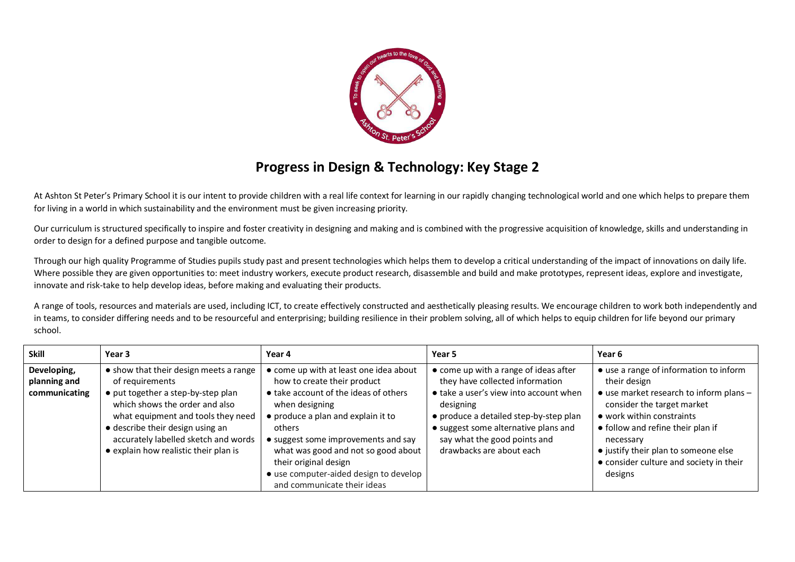

## **Progress in Design & Technology: Key Stage 2**

At Ashton St Peter's Primary School it is our intent to provide children with a real life context for learning in our rapidly changing technological world and one which helps to prepare them for living in a world in which sustainability and the environment must be given increasing priority.

Our curriculum is structured specifically to inspire and foster creativity in designing and making and is combined with the progressive acquisition of knowledge, skills and understanding in order to design for a defined purpose and tangible outcome.

Through our high quality Programme of Studies pupils study past and present technologies which helps them to develop a critical understanding of the impact of innovations on daily life. Where possible they are given opportunities to: meet industry workers, execute product research, disassemble and build and make prototypes, represent ideas, explore and investigate, innovate and risk-take to help develop ideas, before making and evaluating their products.

A range of tools, resources and materials are used, including ICT, to create effectively constructed and aesthetically pleasing results. We encourage children to work both independently and in teams, to consider differing needs and to be resourceful and enterprising; building resilience in their problem solving, all of which helps to equip children for life beyond our primary school.

| <b>Skill</b>                                 | Year 3                                                                                                                                                                                                                                                                                       | Year 4                                                                                                                                                                                                                                                                                                                            | Year 5                                                                                                                                                                                                                                                                        | Year 6                                                                                                                                                                                                                                                                                                       |
|----------------------------------------------|----------------------------------------------------------------------------------------------------------------------------------------------------------------------------------------------------------------------------------------------------------------------------------------------|-----------------------------------------------------------------------------------------------------------------------------------------------------------------------------------------------------------------------------------------------------------------------------------------------------------------------------------|-------------------------------------------------------------------------------------------------------------------------------------------------------------------------------------------------------------------------------------------------------------------------------|--------------------------------------------------------------------------------------------------------------------------------------------------------------------------------------------------------------------------------------------------------------------------------------------------------------|
| Developing,<br>planning and<br>communicating | • show that their design meets a range<br>of requirements<br>• put together a step-by-step plan<br>which shows the order and also<br>what equipment and tools they need<br>· describe their design using an<br>accurately labelled sketch and words<br>• explain how realistic their plan is | • come up with at least one idea about<br>how to create their product<br>• take account of the ideas of others<br>when designing<br>• produce a plan and explain it to<br>others<br>• suggest some improvements and say<br>what was good and not so good about<br>their original design<br>• use computer-aided design to develop | • come up with a range of ideas after<br>they have collected information<br>• take a user's view into account when<br>designing<br>• produce a detailed step-by-step plan<br>• suggest some alternative plans and<br>say what the good points and<br>drawbacks are about each | • use a range of information to inform<br>their design<br>• use market research to inform plans -<br>consider the target market<br>• work within constraints<br>• follow and refine their plan if<br>necessary<br>• justify their plan to someone else<br>• consider culture and society in their<br>designs |
|                                              |                                                                                                                                                                                                                                                                                              | and communicate their ideas                                                                                                                                                                                                                                                                                                       |                                                                                                                                                                                                                                                                               |                                                                                                                                                                                                                                                                                                              |